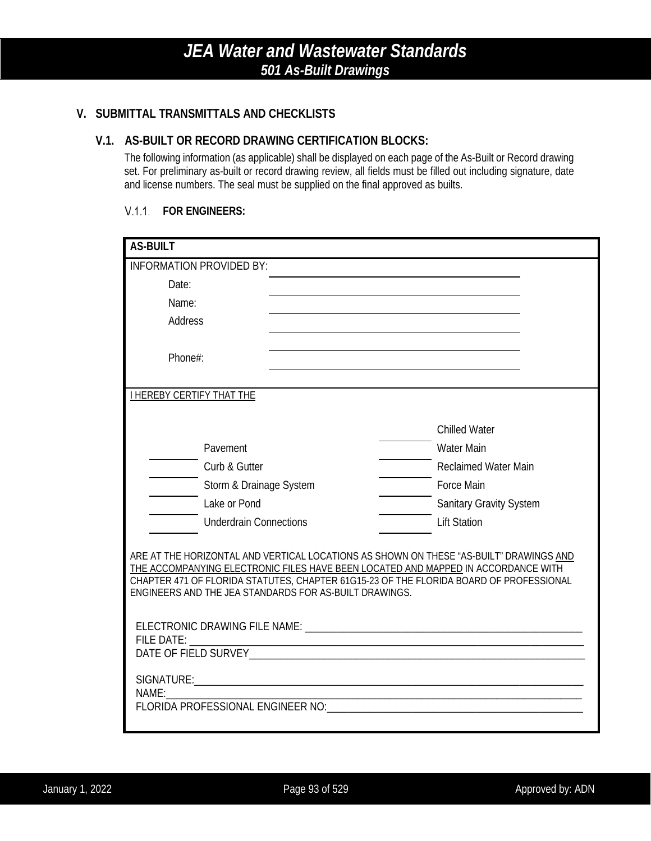### **V. SUBMITTAL TRANSMITTALS AND CHECKLISTS**

### **V.1. AS-BUILT OR RECORD DRAWING CERTIFICATION BLOCKS:**

The following information (as applicable) shall be displayed on each page of the As-Built or Record drawing set. For preliminary as-built or record drawing review, all fields must be filled out including signature, date and license numbers. The seal must be supplied on the final approved as builts.

#### **FOR ENGINEERS:**

| <b>AS-BUILT</b>                                                                                                                                                                                                                                                                                                                 |                                |
|---------------------------------------------------------------------------------------------------------------------------------------------------------------------------------------------------------------------------------------------------------------------------------------------------------------------------------|--------------------------------|
| <b>INFORMATION PROVIDED BY:</b>                                                                                                                                                                                                                                                                                                 |                                |
| Date:                                                                                                                                                                                                                                                                                                                           |                                |
| Name:                                                                                                                                                                                                                                                                                                                           |                                |
| Address                                                                                                                                                                                                                                                                                                                         |                                |
|                                                                                                                                                                                                                                                                                                                                 |                                |
| Phone#:                                                                                                                                                                                                                                                                                                                         |                                |
|                                                                                                                                                                                                                                                                                                                                 |                                |
| <b>I HEREBY CERTIFY THAT THE</b>                                                                                                                                                                                                                                                                                                |                                |
|                                                                                                                                                                                                                                                                                                                                 | <b>Chilled Water</b>           |
| Pavement                                                                                                                                                                                                                                                                                                                        | <b>Water Main</b>              |
|                                                                                                                                                                                                                                                                                                                                 |                                |
| Curb & Gutter                                                                                                                                                                                                                                                                                                                   | <b>Reclaimed Water Main</b>    |
| Storm & Drainage System                                                                                                                                                                                                                                                                                                         | <b>Force Main</b>              |
| Lake or Pond                                                                                                                                                                                                                                                                                                                    | <b>Sanitary Gravity System</b> |
| <b>Underdrain Connections</b>                                                                                                                                                                                                                                                                                                   | <b>Lift Station</b>            |
| ARE AT THE HORIZONTAL AND VERTICAL LOCATIONS AS SHOWN ON THESE "AS-BUILT" DRAWINGS AND<br>THE ACCOMPANYING ELECTRONIC FILES HAVE BEEN LOCATED AND MAPPED IN ACCORDANCE WITH<br>CHAPTER 471 OF FLORIDA STATUTES, CHAPTER 61G15-23 OF THE FLORIDA BOARD OF PROFESSIONAL<br>ENGINEERS AND THE JEA STANDARDS FOR AS-BUILT DRAWINGS. |                                |
| <b>FILE DATE:</b>                                                                                                                                                                                                                                                                                                               |                                |
| NAME:                                                                                                                                                                                                                                                                                                                           |                                |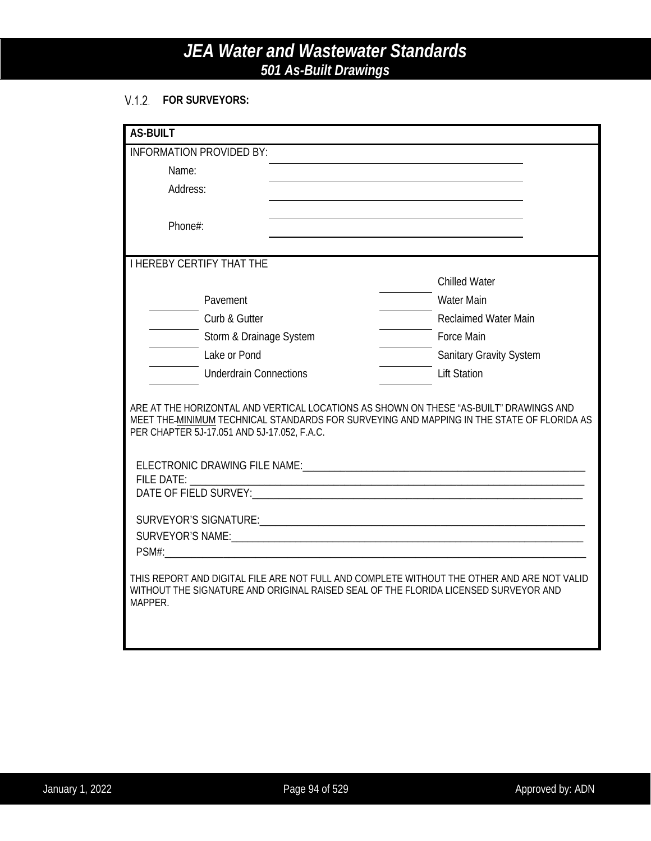### **FOR SURVEYORS:**

| <b>AS-BUILT</b>                             |                                                                                                                                                                                     |  |
|---------------------------------------------|-------------------------------------------------------------------------------------------------------------------------------------------------------------------------------------|--|
| <b>INFORMATION PROVIDED BY:</b>             |                                                                                                                                                                                     |  |
| Name:                                       |                                                                                                                                                                                     |  |
| Address:                                    |                                                                                                                                                                                     |  |
|                                             |                                                                                                                                                                                     |  |
| Phone#:                                     |                                                                                                                                                                                     |  |
|                                             |                                                                                                                                                                                     |  |
| <b>I HEREBY CERTIFY THAT THE</b>            |                                                                                                                                                                                     |  |
|                                             | <b>Chilled Water</b>                                                                                                                                                                |  |
| Pavement                                    | <b>Water Main</b>                                                                                                                                                                   |  |
| Curb & Gutter                               | <b>Reclaimed Water Main</b>                                                                                                                                                         |  |
| Storm & Drainage System                     | <b>Force Main</b>                                                                                                                                                                   |  |
| Lake or Pond                                | <b>Sanitary Gravity System</b>                                                                                                                                                      |  |
| <b>Underdrain Connections</b>               | <b>Lift Station</b>                                                                                                                                                                 |  |
| PER CHAPTER 5J-17.051 AND 5J-17.052, F.A.C. | ARE AT THE HORIZONTAL AND VERTICAL LOCATIONS AS SHOWN ON THESE "AS-BUILT" DRAWINGS AND<br>MEET THE-MINIMUM TECHNICAL STANDARDS FOR SURVEYING AND MAPPING IN THE STATE OF FLORIDA AS |  |
|                                             |                                                                                                                                                                                     |  |
|                                             |                                                                                                                                                                                     |  |
|                                             |                                                                                                                                                                                     |  |
|                                             |                                                                                                                                                                                     |  |
| MAPPER.                                     | THIS REPORT AND DIGITAL FILE ARE NOT FULL AND COMPLETE WITHOUT THE OTHER AND ARE NOT VALID<br>WITHOUT THE SIGNATURE AND ORIGINAL RAISED SEAL OF THE FLORIDA LICENSED SURVEYOR AND   |  |
|                                             |                                                                                                                                                                                     |  |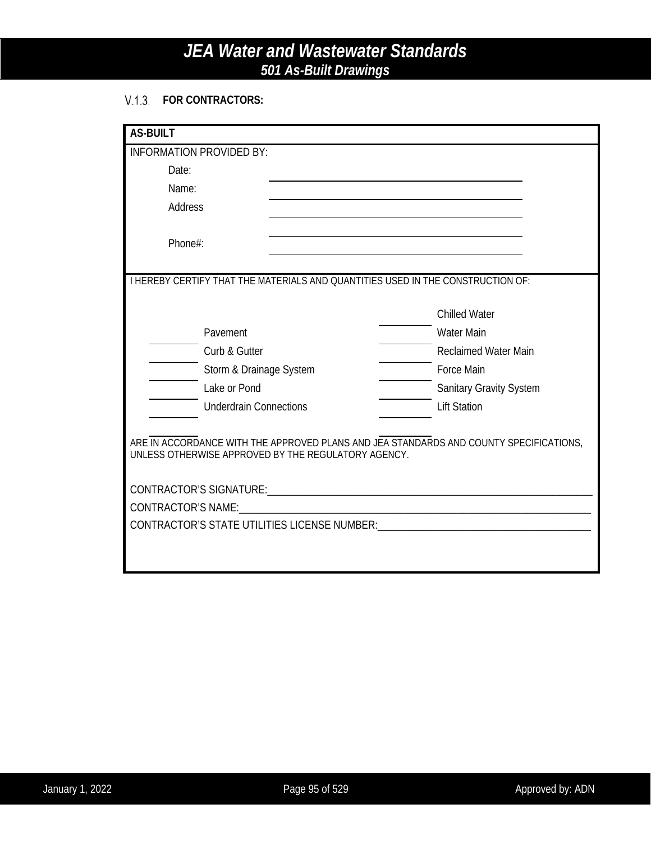### **FOR CONTRACTORS:**

| <b>AS-BUILT</b>                                                                        |                                                                                                                       |  |  |
|----------------------------------------------------------------------------------------|-----------------------------------------------------------------------------------------------------------------------|--|--|
| <b>INFORMATION PROVIDED BY:</b>                                                        |                                                                                                                       |  |  |
| Date:                                                                                  | <u> 1980 - Johann Barn, mars ann an t-Amhain Aonaich an t-Aonaich an t-Aonaich an t-Aonaich an t-Aonaich an t-Aon</u> |  |  |
| Name:                                                                                  |                                                                                                                       |  |  |
| Address                                                                                |                                                                                                                       |  |  |
| Phone#:                                                                                |                                                                                                                       |  |  |
| I HEREBY CERTIFY THAT THE MATERIALS AND QUANTITIES USED IN THE CONSTRUCTION OF:        |                                                                                                                       |  |  |
|                                                                                        |                                                                                                                       |  |  |
|                                                                                        | <b>Chilled Water</b>                                                                                                  |  |  |
| Pavement                                                                               | <b>Water Main</b>                                                                                                     |  |  |
| Curb & Gutter                                                                          | Reclaimed Water Main                                                                                                  |  |  |
| Storm & Drainage System                                                                | <b>Force Main</b>                                                                                                     |  |  |
| Lake or Pond                                                                           | <b>Sanitary Gravity System</b>                                                                                        |  |  |
| <b>Underdrain Connections</b>                                                          | <b>Lift Station</b>                                                                                                   |  |  |
| ARE IN ACCORDANCE WITH THE APPROVED PLANS AND JEA STANDARDS AND COUNTY SPECIFICATIONS, |                                                                                                                       |  |  |
| UNLESS OTHERWISE APPROVED BY THE REGULATORY AGENCY.                                    |                                                                                                                       |  |  |
|                                                                                        |                                                                                                                       |  |  |
|                                                                                        |                                                                                                                       |  |  |
|                                                                                        |                                                                                                                       |  |  |
| CONTRACTOR'S STATE UTILITIES LICENSE NUMBER: WILL ARE AN ARREST AND THE CONTRACTOR'S   |                                                                                                                       |  |  |
|                                                                                        |                                                                                                                       |  |  |
|                                                                                        |                                                                                                                       |  |  |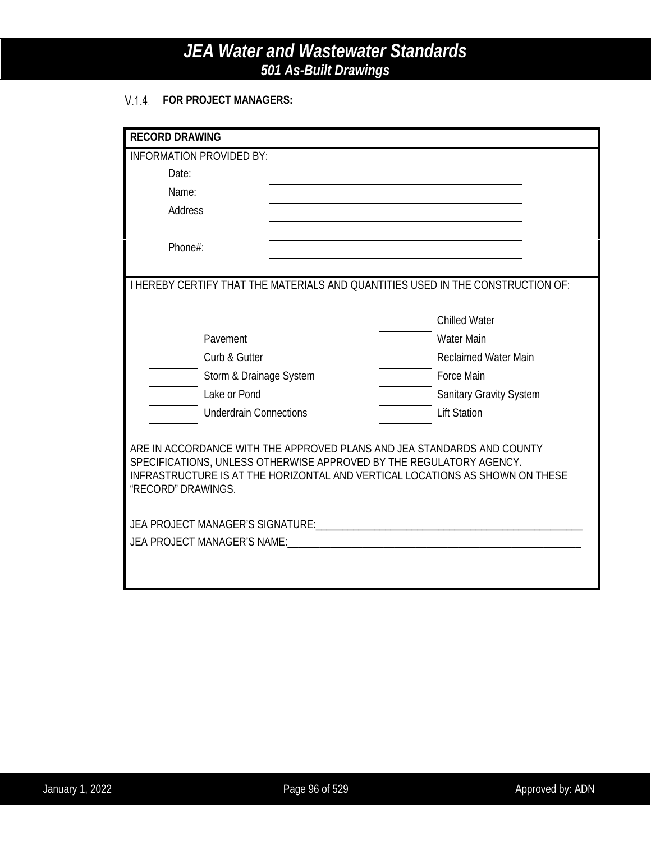### **FOR PROJECT MANAGERS:**

| <b>RECORD DRAWING</b>                                                                                                                               |                                |  |
|-----------------------------------------------------------------------------------------------------------------------------------------------------|--------------------------------|--|
| <b>INFORMATION PROVIDED BY:</b>                                                                                                                     |                                |  |
| Date:                                                                                                                                               |                                |  |
| Name:                                                                                                                                               |                                |  |
| <b>Address</b>                                                                                                                                      |                                |  |
|                                                                                                                                                     |                                |  |
| Phone#:                                                                                                                                             |                                |  |
|                                                                                                                                                     |                                |  |
| <b>I HEREBY CERTIFY THAT THE MATERIALS AND QUANTITIES USED IN THE CONSTRUCTION OF:</b>                                                              |                                |  |
|                                                                                                                                                     |                                |  |
|                                                                                                                                                     | <b>Chilled Water</b>           |  |
| Pavement                                                                                                                                            | <b>Water Main</b>              |  |
| Curb & Gutter                                                                                                                                       | <b>Reclaimed Water Main</b>    |  |
| Storm & Drainage System                                                                                                                             | Force Main                     |  |
| Lake or Pond                                                                                                                                        | <b>Sanitary Gravity System</b> |  |
| <b>Underdrain Connections</b>                                                                                                                       | <b>Lift Station</b>            |  |
|                                                                                                                                                     |                                |  |
| ARE IN ACCORDANCE WITH THE APPROVED PLANS AND JEA STANDARDS AND COUNTY                                                                              |                                |  |
| SPECIFICATIONS, UNLESS OTHERWISE APPROVED BY THE REGULATORY AGENCY.<br>INFRASTRUCTURE IS AT THE HORIZONTAL AND VERTICAL LOCATIONS AS SHOWN ON THESE |                                |  |
| "RECORD" DRAWINGS.                                                                                                                                  |                                |  |
|                                                                                                                                                     |                                |  |
|                                                                                                                                                     |                                |  |
| JEA PROJECT MANAGER'S NAME: CONNECTION CONTROL CONTRACT AND THE USE OF A PROJECT MANAGER'S NAME:                                                    |                                |  |
|                                                                                                                                                     |                                |  |
|                                                                                                                                                     |                                |  |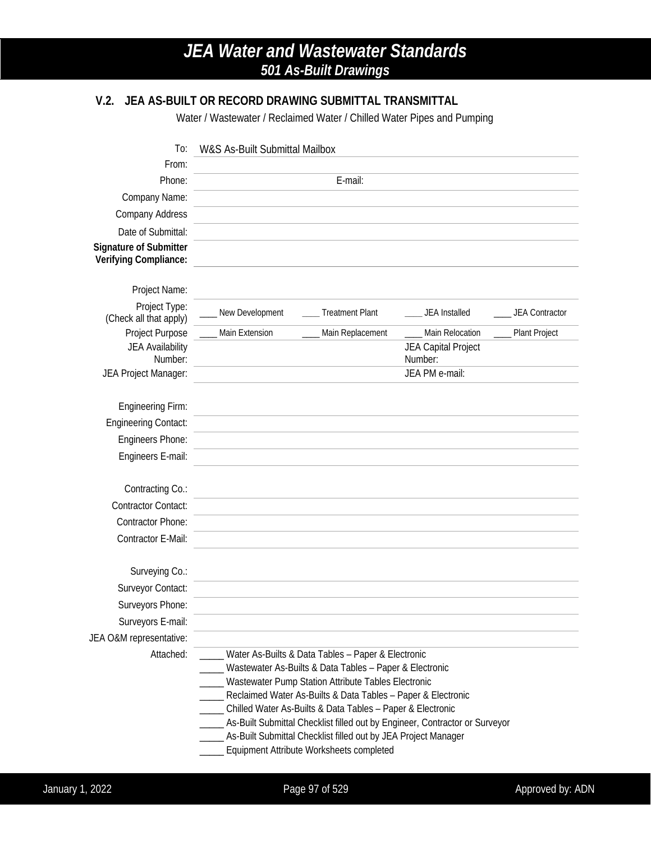## **V.2. JEA AS-BUILT OR RECORD DRAWING SUBMITTAL TRANSMITTAL**

Water / Wastewater / Reclaimed Water / Chilled Water Pipes and Pumping

| To:                                             | W&S As-Built Submittal Mailbox                                                                                           |                                        |  |  |
|-------------------------------------------------|--------------------------------------------------------------------------------------------------------------------------|----------------------------------------|--|--|
| From:                                           |                                                                                                                          |                                        |  |  |
| Phone:                                          | E-mail:                                                                                                                  |                                        |  |  |
| Company Name:                                   |                                                                                                                          |                                        |  |  |
| <b>Company Address</b>                          |                                                                                                                          |                                        |  |  |
| Date of Submittal:                              |                                                                                                                          |                                        |  |  |
| Signature of Submitter<br>Verifying Compliance: |                                                                                                                          |                                        |  |  |
| Project Name:                                   |                                                                                                                          |                                        |  |  |
| Project Type:<br>(Check all that apply)         | New Development<br><b>Treatment Plant</b>                                                                                | JEA Installed<br><b>JEA Contractor</b> |  |  |
| Project Purpose                                 | Main Extension<br>Main Replacement                                                                                       | Main Relocation<br>Plant Project       |  |  |
| JEA Availability<br>Number:                     |                                                                                                                          | JEA Capital Project<br>Number:         |  |  |
| JEA Project Manager:                            |                                                                                                                          | JEA PM e-mail:                         |  |  |
| <b>Engineering Firm:</b>                        |                                                                                                                          |                                        |  |  |
| <b>Engineering Contact:</b>                     |                                                                                                                          |                                        |  |  |
| Engineers Phone:                                |                                                                                                                          |                                        |  |  |
| Engineers E-mail:                               |                                                                                                                          |                                        |  |  |
| Contracting Co.:                                |                                                                                                                          |                                        |  |  |
| <b>Contractor Contact:</b>                      |                                                                                                                          |                                        |  |  |
| <b>Contractor Phone:</b>                        |                                                                                                                          |                                        |  |  |
| Contractor E-Mail:                              |                                                                                                                          |                                        |  |  |
|                                                 |                                                                                                                          |                                        |  |  |
| Surveying Co.:                                  |                                                                                                                          |                                        |  |  |
| Surveyor Contact:                               |                                                                                                                          |                                        |  |  |
| Surveyors Phone:                                |                                                                                                                          |                                        |  |  |
| Surveyors E-mail:                               |                                                                                                                          |                                        |  |  |
| JEA O&M representative:                         |                                                                                                                          |                                        |  |  |
| Attached:                                       | Water As-Builts & Data Tables - Paper & Electronic                                                                       |                                        |  |  |
|                                                 | Wastewater As-Builts & Data Tables - Paper & Electronic                                                                  |                                        |  |  |
|                                                 | Wastewater Pump Station Attribute Tables Electronic<br>____ Reclaimed Water As-Builts & Data Tables - Paper & Electronic |                                        |  |  |
|                                                 | _____ Chilled Water As-Builts & Data Tables - Paper & Electronic                                                         |                                        |  |  |
|                                                 | _____ As-Built Submittal Checklist filled out by Engineer, Contractor or Surveyor                                        |                                        |  |  |
|                                                 | As-Built Submittal Checklist filled out by JEA Project Manager                                                           |                                        |  |  |
|                                                 | Equipment Attribute Worksheets completed                                                                                 |                                        |  |  |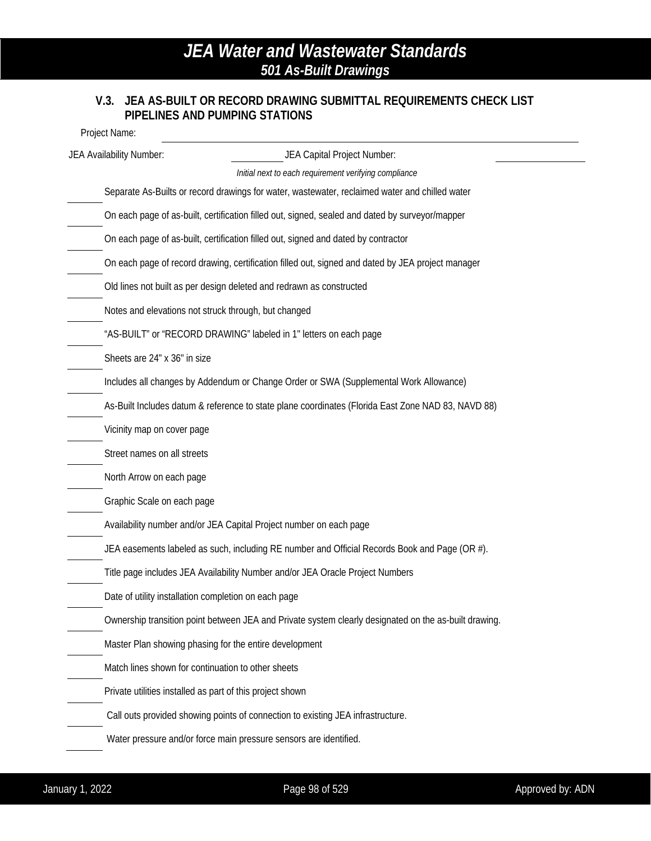### **V.3. JEA AS-BUILT OR RECORD DRAWING SUBMITTAL REQUIREMENTS CHECK LIST PIPELINES AND PUMPING STATIONS**

Project Name:

| JEA Availability Number:                                  | JEA Capital Project Number:                                                                           |
|-----------------------------------------------------------|-------------------------------------------------------------------------------------------------------|
|                                                           | Initial next to each requirement verifying compliance                                                 |
|                                                           | Separate As-Builts or record drawings for water, wastewater, reclaimed water and chilled water        |
|                                                           | On each page of as-built, certification filled out, signed, sealed and dated by surveyor/mapper       |
|                                                           | On each page of as-built, certification filled out, signed and dated by contractor                    |
|                                                           | On each page of record drawing, certification filled out, signed and dated by JEA project manager     |
|                                                           | Old lines not built as per design deleted and redrawn as constructed                                  |
| Notes and elevations not struck through, but changed      |                                                                                                       |
|                                                           | "AS-BUILT" or "RECORD DRAWING" labeled in 1" letters on each page                                     |
| Sheets are 24" x 36" in size                              |                                                                                                       |
|                                                           | Includes all changes by Addendum or Change Order or SWA (Supplemental Work Allowance)                 |
|                                                           | As-Built Includes datum & reference to state plane coordinates (Florida East Zone NAD 83, NAVD 88)    |
| Vicinity map on cover page                                |                                                                                                       |
| Street names on all streets                               |                                                                                                       |
| North Arrow on each page                                  |                                                                                                       |
| Graphic Scale on each page                                |                                                                                                       |
|                                                           | Availability number and/or JEA Capital Project number on each page                                    |
|                                                           | JEA easements labeled as such, including RE number and Official Records Book and Page (OR #).         |
|                                                           | Title page includes JEA Availability Number and/or JEA Oracle Project Numbers                         |
| Date of utility installation completion on each page      |                                                                                                       |
|                                                           | Ownership transition point between JEA and Private system clearly designated on the as-built drawing. |
|                                                           | Master Plan showing phasing for the entire development                                                |
| Match lines shown for continuation to other sheets        |                                                                                                       |
| Private utilities installed as part of this project shown |                                                                                                       |
|                                                           | Call outs provided showing points of connection to existing JEA infrastructure.                       |
|                                                           | Water pressure and/or force main pressure sensors are identified.                                     |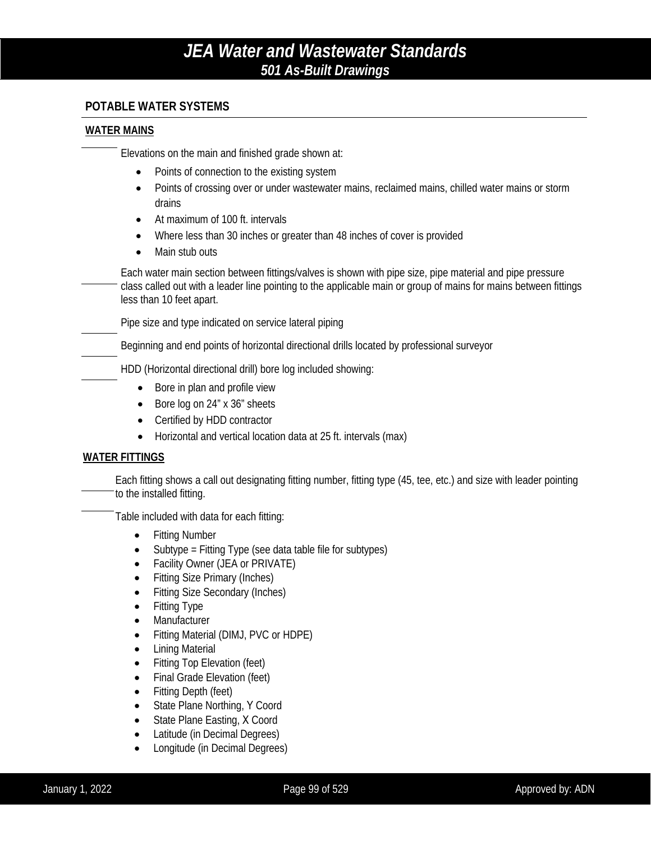### **POTABLE WATER SYSTEMS**

#### **WATER MAINS**

Elevations on the main and finished grade shown at:

- Points of connection to the existing system
- Points of crossing over or under wastewater mains, reclaimed mains, chilled water mains or storm drains
- At maximum of 100 ft. intervals
- Where less than 30 inches or greater than 48 inches of cover is provided
- Main stub outs

Each water main section between fittings/valves is shown with pipe size, pipe material and pipe pressure class called out with a leader line pointing to the applicable main or group of mains for mains between fittings less than 10 feet apart.

Pipe size and type indicated on service lateral piping

Beginning and end points of horizontal directional drills located by professional surveyor

HDD (Horizontal directional drill) bore log included showing:

- Bore in plan and profile view
- Bore log on 24" x 36" sheets
- Certified by HDD contractor
- Horizontal and vertical location data at 25 ft. intervals (max)

#### **WATER FITTINGS**

Each fitting shows a call out designating fitting number, fitting type (45, tee, etc.) and size with leader pointing to the installed fitting.

Table included with data for each fitting:

- Fitting Number
- Subtype = Fitting Type (see data table file for subtypes)
- Facility Owner (JEA or PRIVATE)
- Fitting Size Primary (Inches)
- Fitting Size Secondary (Inches)
- Fitting Type
- Manufacturer
- Fitting Material (DIMJ, PVC or HDPE)
- Lining Material
- Fitting Top Elevation (feet)
- Final Grade Elevation (feet)
- Fitting Depth (feet)
- State Plane Northing, Y Coord
- State Plane Easting, X Coord
- Latitude (in Decimal Degrees)
- Longitude (in Decimal Degrees)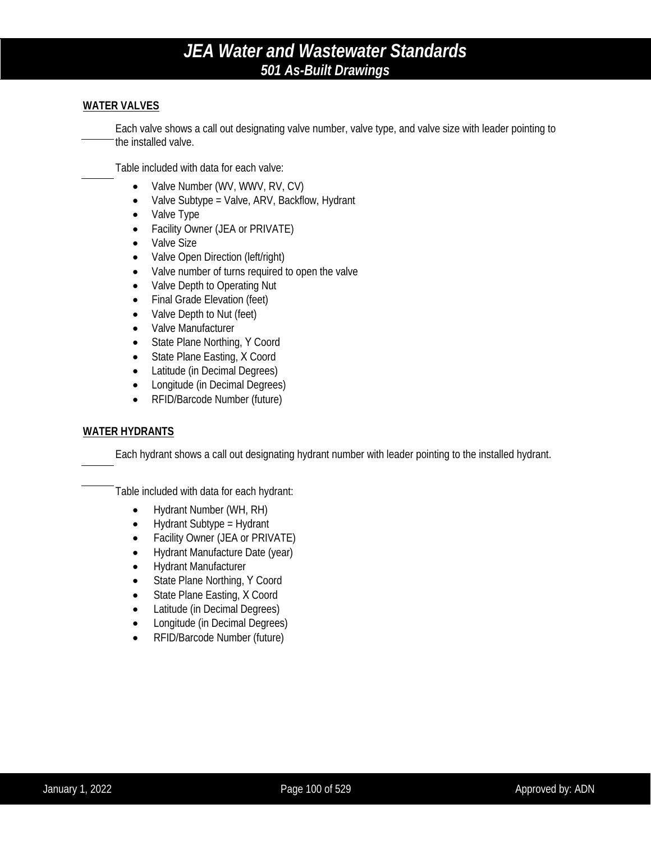#### **WATER VALVES**

Each valve shows a call out designating valve number, valve type, and valve size with leader pointing to the installed valve.

Table included with data for each valve:

- Valve Number (WV, WWV, RV, CV)
- Valve Subtype = Valve, ARV, Backflow, Hydrant
- Valve Type
- Facility Owner (JEA or PRIVATE)
- Valve Size
- Valve Open Direction (left/right)
- Valve number of turns required to open the valve
- Valve Depth to Operating Nut
- Final Grade Elevation (feet)
- Valve Depth to Nut (feet)
- Valve Manufacturer
- State Plane Northing, Y Coord
- State Plane Easting, X Coord
- Latitude (in Decimal Degrees)
- Longitude (in Decimal Degrees)
- RFID/Barcode Number (future)

#### **WATER HYDRANTS**

Each hydrant shows a call out designating hydrant number with leader pointing to the installed hydrant.

Table included with data for each hydrant:

- Hydrant Number (WH, RH)
- Hydrant Subtype = Hydrant
- Facility Owner (JEA or PRIVATE)
- Hydrant Manufacture Date (year)
- Hydrant Manufacturer
- State Plane Northing, Y Coord
- State Plane Easting, X Coord
- Latitude (in Decimal Degrees)
- Longitude (in Decimal Degrees)
- RFID/Barcode Number (future)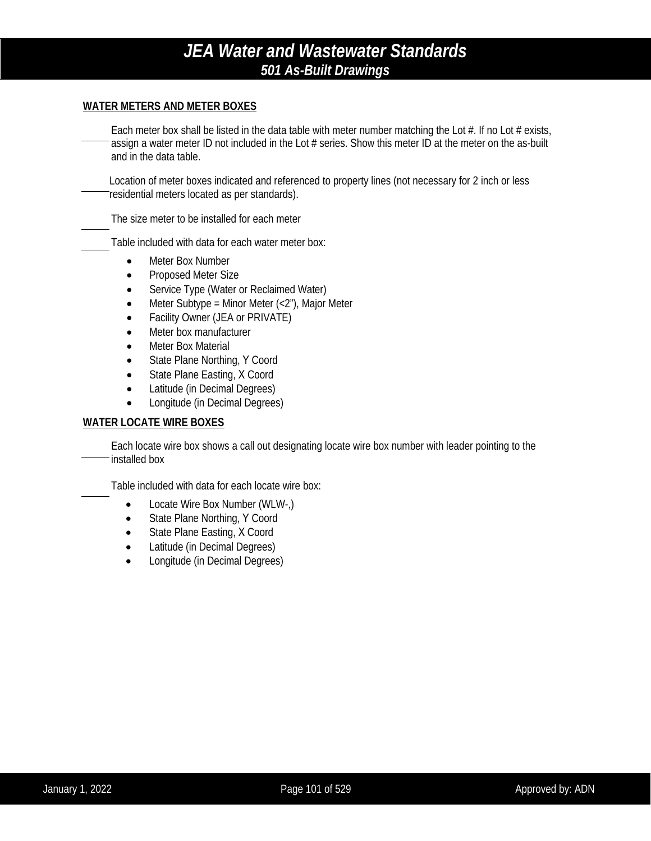#### **WATER METERS AND METER BOXES**

Each meter box shall be listed in the data table with meter number matching the Lot  $#$ . If no Lot  $#$  exists, assign a water meter ID not included in the Lot # series. Show this meter ID at the meter on the as-built and in the data table.

Location of meter boxes indicated and referenced to property lines (not necessary for 2 inch or less residential meters located as per standards).

The size meter to be installed for each meter

Table included with data for each water meter box:

- Meter Box Number
- Proposed Meter Size
- Service Type (Water or Reclaimed Water)
- Meter Subtype = Minor Meter  $\left\langle \langle 2^n \rangle \right\rangle$ , Major Meter
- Facility Owner (JEA or PRIVATE)
- Meter box manufacturer
- **Meter Box Material**
- State Plane Northing, Y Coord
- State Plane Easting, X Coord
- Latitude (in Decimal Degrees)
- Longitude (in Decimal Degrees)

#### **WATER LOCATE WIRE BOXES**

Each locate wire box shows a call out designating locate wire box number with leader pointing to the installed box

Table included with data for each locate wire box:

- Locate Wire Box Number (WLW-,)
- State Plane Northing, Y Coord
- State Plane Easting, X Coord
- Latitude (in Decimal Degrees)
- Longitude (in Decimal Degrees)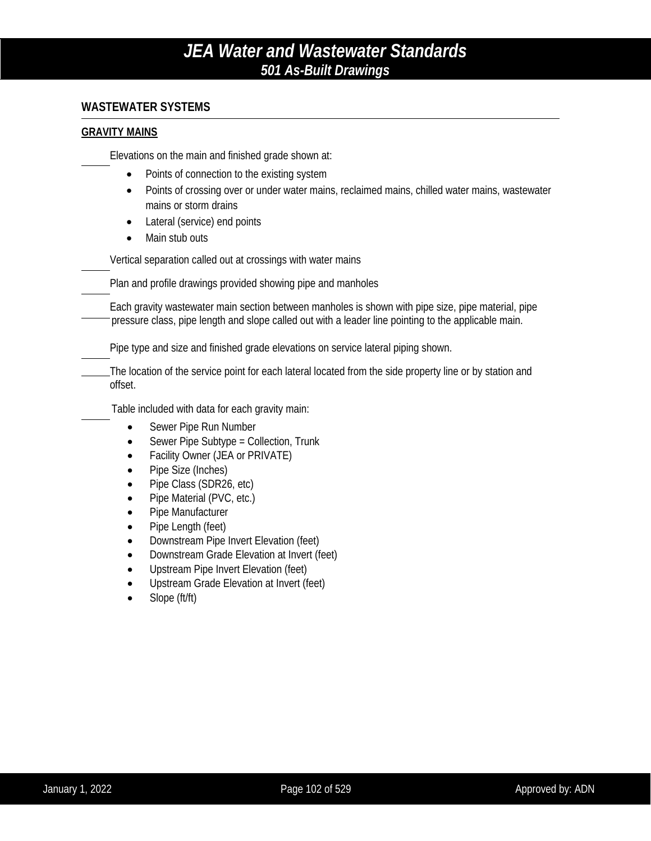### **WASTEWATER SYSTEMS**

#### **GRAVITY MAINS**

Elevations on the main and finished grade shown at:

- Points of connection to the existing system
- Points of crossing over or under water mains, reclaimed mains, chilled water mains, wastewater mains or storm drains
- Lateral (service) end points
- Main stub outs

Vertical separation called out at crossings with water mains

Plan and profile drawings provided showing pipe and manholes

Each gravity wastewater main section between manholes is shown with pipe size, pipe material, pipe pressure class, pipe length and slope called out with a leader line pointing to the applicable main.

Pipe type and size and finished grade elevations on service lateral piping shown.

The location of the service point for each lateral located from the side property line or by station and offset.

Table included with data for each gravity main:

- Sewer Pipe Run Number
- Sewer Pipe Subtype = Collection, Trunk
- Facility Owner (JEA or PRIVATE)
- Pipe Size (Inches)
- Pipe Class (SDR26, etc)
- Pipe Material (PVC, etc.)
- Pipe Manufacturer
- Pipe Length (feet)
- Downstream Pipe Invert Elevation (feet)
- Downstream Grade Elevation at Invert (feet)
- Upstream Pipe Invert Elevation (feet)
- Upstream Grade Elevation at Invert (feet)
- Slope (ft/ft)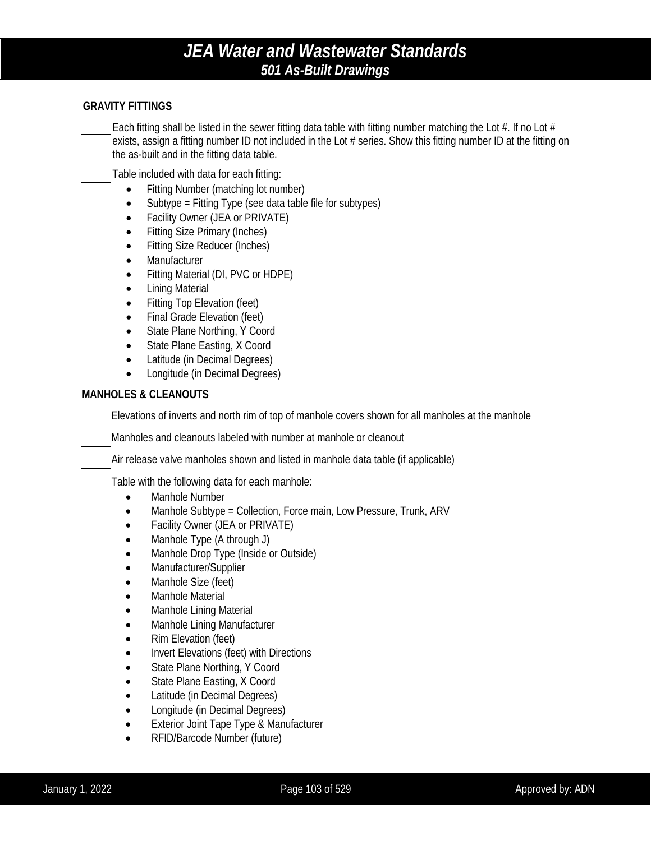#### **GRAVITY FITTINGS**

Each fitting shall be listed in the sewer fitting data table with fitting number matching the Lot  $#$ . If no Lot  $#$ exists, assign a fitting number ID not included in the Lot # series. Show this fitting number ID at the fitting on the as-built and in the fitting data table.

Table included with data for each fitting:

- Fitting Number (matching lot number)
- Subtype = Fitting Type (see data table file for subtypes)
- Facility Owner (JEA or PRIVATE)
- Fitting Size Primary (Inches)
- Fitting Size Reducer (Inches)
- **Manufacturer**
- Fitting Material (DI, PVC or HDPE)
- Lining Material
- Fitting Top Elevation (feet)
- Final Grade Elevation (feet)
- State Plane Northing, Y Coord
- State Plane Easting, X Coord
- Latitude (in Decimal Degrees)
- Longitude (in Decimal Degrees)

### **MANHOLES & CLEANOUTS**

Elevations of inverts and north rim of top of manhole covers shown for all manholes at the manhole

Manholes and cleanouts labeled with number at manhole or cleanout

Air release valve manholes shown and listed in manhole data table (if applicable)

Table with the following data for each manhole:

- Manhole Number
- Manhole Subtype = Collection, Force main, Low Pressure, Trunk, ARV
- Facility Owner (JEA or PRIVATE)
- Manhole Type (A through J)
- Manhole Drop Type (Inside or Outside)
- Manufacturer/Supplier
- Manhole Size (feet)
- Manhole Material
- Manhole Lining Material
- Manhole Lining Manufacturer
- Rim Elevation (feet)
- Invert Elevations (feet) with Directions
- State Plane Northing, Y Coord
- State Plane Easting, X Coord
- Latitude (in Decimal Degrees)
- Longitude (in Decimal Degrees)
- Exterior Joint Tape Type & Manufacturer
- RFID/Barcode Number (future)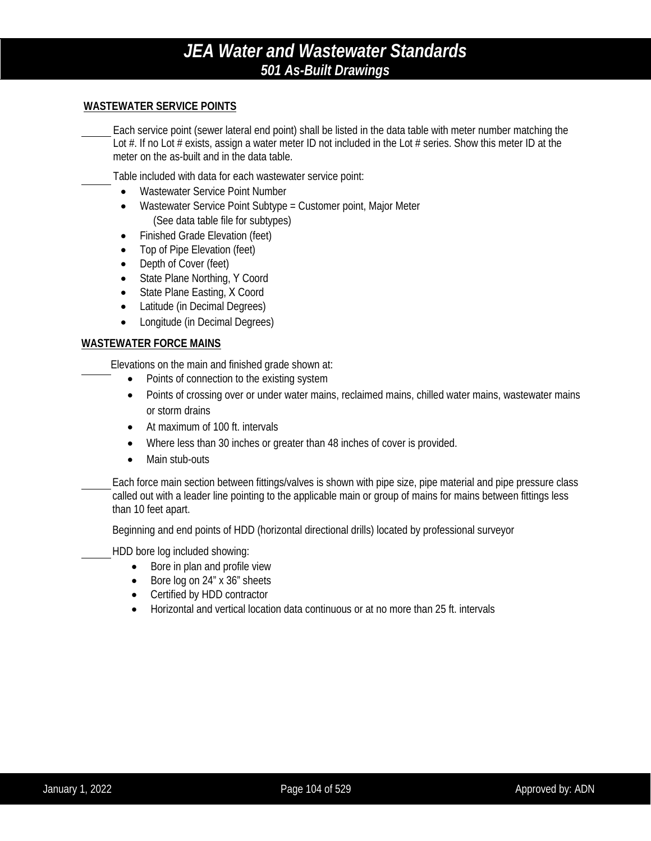#### **WASTEWATER SERVICE POINTS**

Each service point (sewer lateral end point) shall be listed in the data table with meter number matching the Lot #. If no Lot # exists, assign a water meter ID not included in the Lot # series. Show this meter ID at the meter on the as-built and in the data table.

Table included with data for each wastewater service point:

- Wastewater Service Point Number
- Wastewater Service Point Subtype = Customer point, Major Meter (See data table file for subtypes)
- Finished Grade Elevation (feet)
- Top of Pipe Elevation (feet)
- Depth of Cover (feet)
- State Plane Northing, Y Coord
- State Plane Easting, X Coord
- Latitude (in Decimal Degrees)
- Longitude (in Decimal Degrees)

#### **WASTEWATER FORCE MAINS**

Elevations on the main and finished grade shown at:

- Points of connection to the existing system
- Points of crossing over or under water mains, reclaimed mains, chilled water mains, wastewater mains or storm drains
- At maximum of 100 ft. intervals
- Where less than 30 inches or greater than 48 inches of cover is provided.
- Main stub-outs

Each force main section between fittings/valves is shown with pipe size, pipe material and pipe pressure class called out with a leader line pointing to the applicable main or group of mains for mains between fittings less than 10 feet apart.

Beginning and end points of HDD (horizontal directional drills) located by professional surveyor

HDD bore log included showing:

- Bore in plan and profile view
- Bore log on 24" x 36" sheets
- Certified by HDD contractor
- Horizontal and vertical location data continuous or at no more than 25 ft. intervals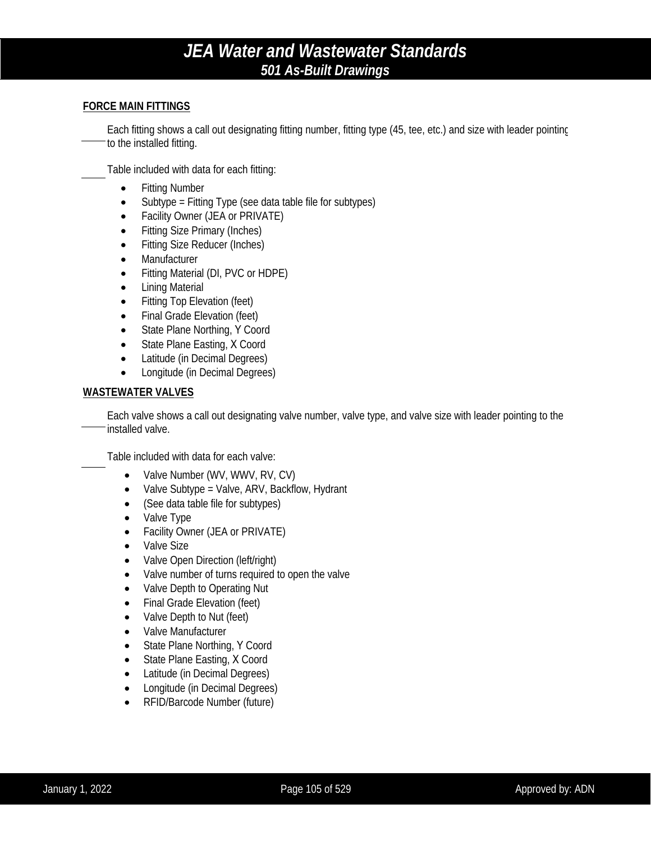#### **FORCE MAIN FITTINGS**

Each fitting shows a call out designating fitting number, fitting type (45, tee, etc.) and size with leader pointing to the installed fitting.

Table included with data for each fitting:

- Fitting Number
- Subtype = Fitting Type (see data table file for subtypes)
- Facility Owner (JEA or PRIVATE)
- Fitting Size Primary (Inches)
- Fitting Size Reducer (Inches)
- Manufacturer
- Fitting Material (DI, PVC or HDPE)
- Lining Material
- Fitting Top Elevation (feet)
- Final Grade Elevation (feet)
- State Plane Northing, Y Coord
- State Plane Easting, X Coord
- Latitude (in Decimal Degrees)
- Longitude (in Decimal Degrees)

#### **WASTEWATER VALVES**

Each valve shows a call out designating valve number, valve type, and valve size with leader pointing to the installed valve.

Table included with data for each valve:

- Valve Number (WV, WWV, RV, CV)
- Valve Subtype = Valve, ARV, Backflow, Hydrant
- (See data table file for subtypes)
- Valve Type
- Facility Owner (JEA or PRIVATE)
- Valve Size
- Valve Open Direction (left/right)
- Valve number of turns required to open the valve
- Valve Depth to Operating Nut
- Final Grade Elevation (feet)
- Valve Depth to Nut (feet)
- Valve Manufacturer
- State Plane Northing, Y Coord
- State Plane Easting, X Coord
- Latitude (in Decimal Degrees)
- Longitude (in Decimal Degrees)
- RFID/Barcode Number (future)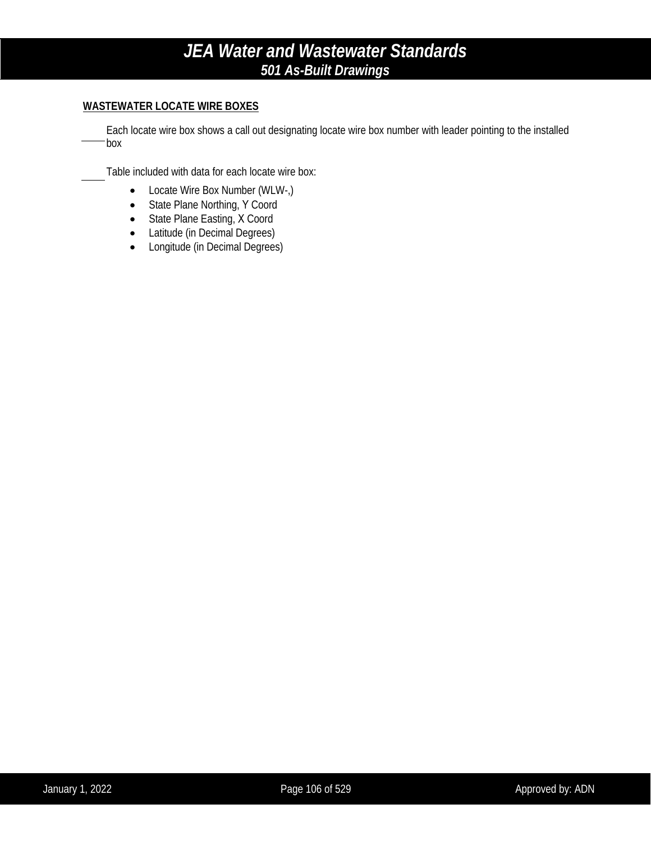### **WASTEWATER LOCATE WIRE BOXES**

Each locate wire box shows a call out designating locate wire box number with leader pointing to the installed box

Table included with data for each locate wire box:

- Locate Wire Box Number (WLW-,)
- State Plane Northing, Y Coord
- State Plane Easting, X Coord
- Latitude (in Decimal Degrees)
- Longitude (in Decimal Degrees)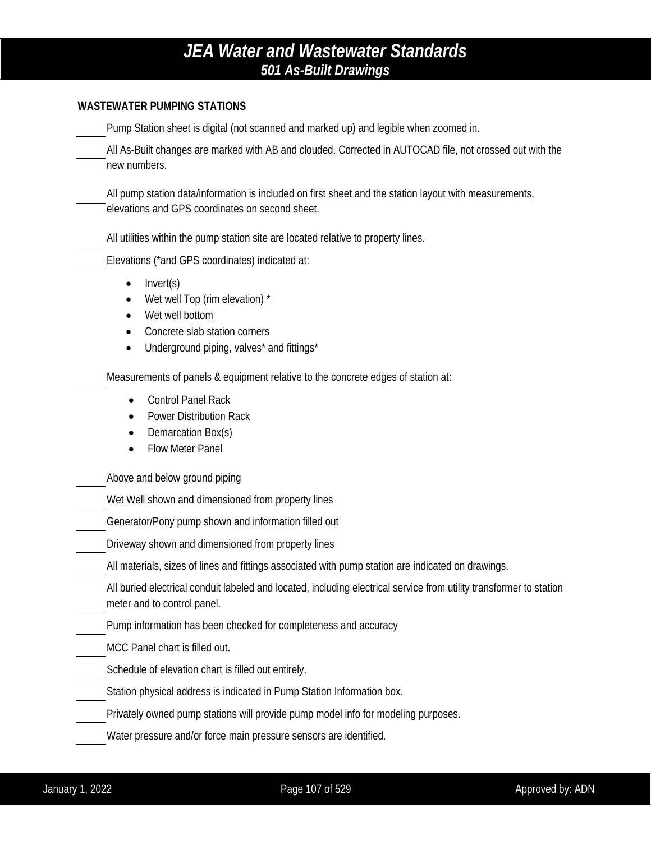#### **WASTEWATER PUMPING STATIONS**

Pump Station sheet is digital (not scanned and marked up) and legible when zoomed in.

All As-Built changes are marked with AB and clouded. Corrected in AUTOCAD file, not crossed out with the new numbers.

All pump station data/information is included on first sheet and the station layout with measurements, elevations and GPS coordinates on second sheet.

All utilities within the pump station site are located relative to property lines.

Elevations (\*and GPS coordinates) indicated at:

- Invert(s)
- Wet well Top (rim elevation) \*
- Wet well bottom
- Concrete slab station corners
- Underground piping, valves\* and fittings\*

Measurements of panels & equipment relative to the concrete edges of station at:

- Control Panel Rack
- Power Distribution Rack
- Demarcation Box(s)
- Flow Meter Panel

Above and below ground piping

Wet Well shown and dimensioned from property lines

Generator/Pony pump shown and information filled out

Driveway shown and dimensioned from property lines

All materials, sizes of lines and fittings associated with pump station are indicated on drawings.

All buried electrical conduit labeled and located, including electrical service from utility transformer to station meter and to control panel.

Pump information has been checked for completeness and accuracy

MCC Panel chart is filled out.

Schedule of elevation chart is filled out entirely.

Station physical address is indicated in Pump Station Information box.

Privately owned pump stations will provide pump model info for modeling purposes.

Water pressure and/or force main pressure sensors are identified.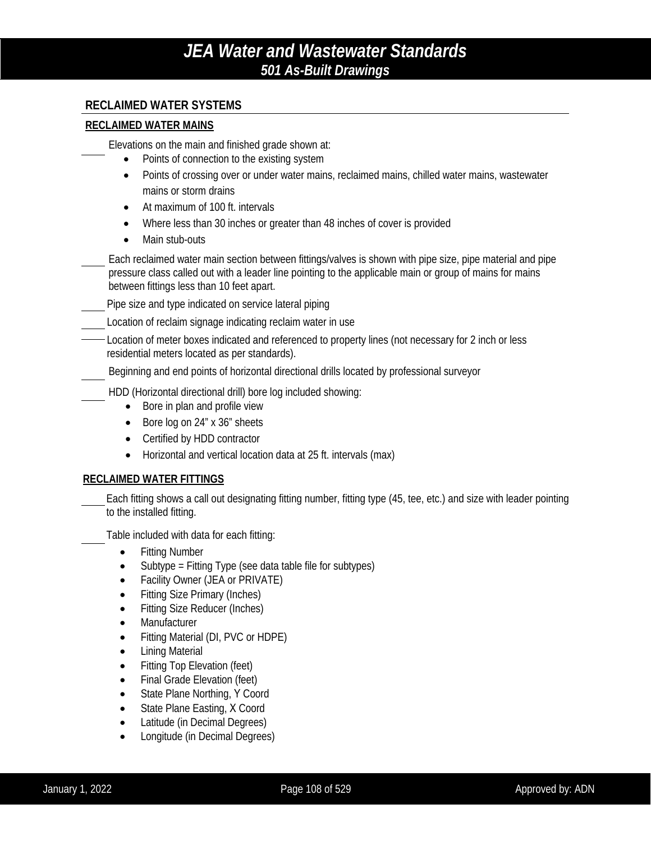### **RECLAIMED WATER SYSTEMS**

#### **RECLAIMED WATER MAINS**

Elevations on the main and finished grade shown at:

- Points of connection to the existing system
- Points of crossing over or under water mains, reclaimed mains, chilled water mains, wastewater mains or storm drains
- At maximum of 100 ft. intervals
- Where less than 30 inches or greater than 48 inches of cover is provided
- Main stub-outs

Each reclaimed water main section between fittings/valves is shown with pipe size, pipe material and pipe pressure class called out with a leader line pointing to the applicable main or group of mains for mains between fittings less than 10 feet apart.

Pipe size and type indicated on service lateral piping

Location of reclaim signage indicating reclaim water in use

Location of meter boxes indicated and referenced to property lines (not necessary for 2 inch or less residential meters located as per standards).

Beginning and end points of horizontal directional drills located by professional surveyor

HDD (Horizontal directional drill) bore log included showing:

- Bore in plan and profile view
- Bore log on 24" x 36" sheets
- Certified by HDD contractor
- Horizontal and vertical location data at 25 ft. intervals (max)

### **RECLAIMED WATER FITTINGS**

Each fitting shows a call out designating fitting number, fitting type (45, tee, etc.) and size with leader pointing to the installed fitting.

Table included with data for each fitting:

- Fitting Number
- Subtype = Fitting Type (see data table file for subtypes)
- Facility Owner (JEA or PRIVATE)
- **Fitting Size Primary (Inches)**
- Fitting Size Reducer (Inches)
- Manufacturer
- Fitting Material (DI, PVC or HDPE)
- Lining Material
- Fitting Top Elevation (feet)
- Final Grade Elevation (feet)
- State Plane Northing, Y Coord
- State Plane Easting, X Coord
- Latitude (in Decimal Degrees)
- Longitude (in Decimal Degrees)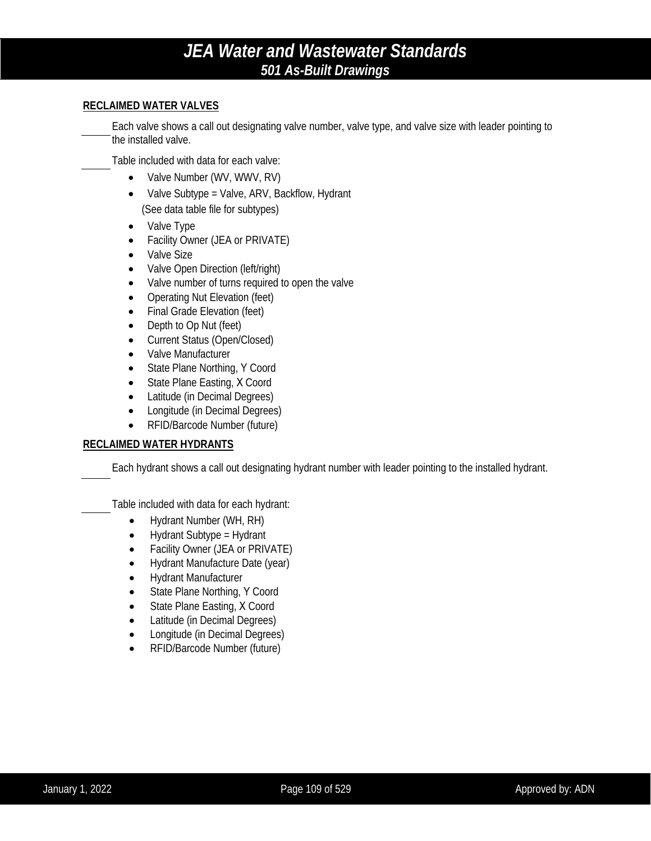#### **RECLAIMED WATER VALVES**

Each valve shows a call out designating valve number, valve type, and valve size with leader pointing to the installed valve.

Table included with data for each valve:

- Valve Number (WV, WWV, RV)
- Valve Subtype = Valve, ARV, Backflow, Hydrant (See data table file for subtypes)
- Valve Type
- Facility Owner (JEA or PRIVATE)
- Valve Size
- Valve Open Direction (left/right)
- Valve number of turns required to open the valve
- Operating Nut Elevation (feet)
- Final Grade Elevation (feet)
- Depth to Op Nut (feet)
- Current Status (Open/Closed)
- Valve Manufacturer
- State Plane Northing, Y Coord
- State Plane Easting, X Coord
- Latitude (in Decimal Degrees)
- Longitude (in Decimal Degrees)
- RFID/Barcode Number (future)

#### **RECLAIMED WATER HYDRANTS**

Each hydrant shows a call out designating hydrant number with leader pointing to the installed hydrant.

Table included with data for each hydrant:

- Hydrant Number (WH, RH)
- Hydrant Subtype = Hydrant
- Facility Owner (JEA or PRIVATE)
- Hydrant Manufacture Date (year)
- Hydrant Manufacturer
- State Plane Northing, Y Coord
- State Plane Easting, X Coord
- Latitude (in Decimal Degrees)
- Longitude (in Decimal Degrees)
- RFID/Barcode Number (future)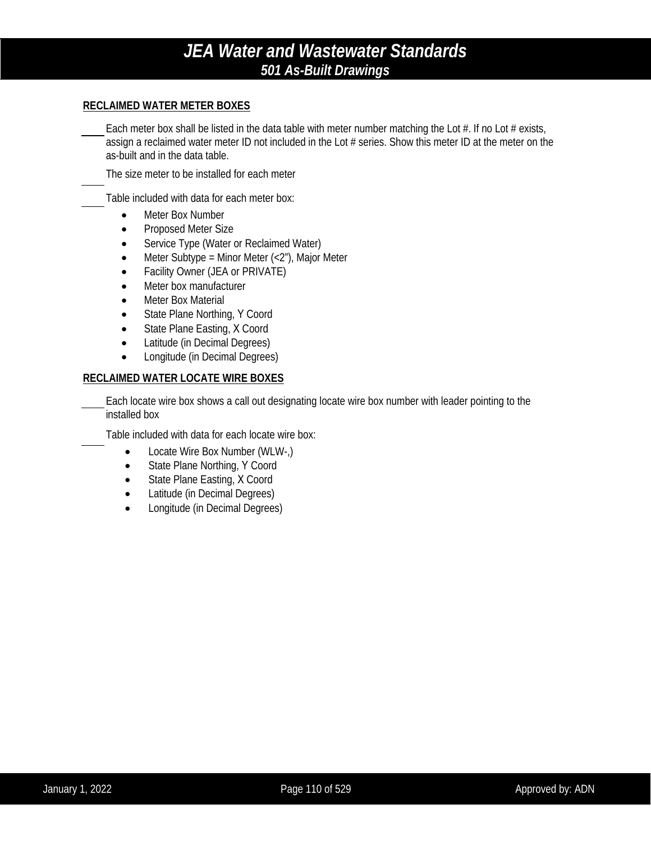#### **RECLAIMED WATER METER BOXES**

Each meter box shall be listed in the data table with meter number matching the Lot  $#$ . If no Lot  $#$  exists, assign a reclaimed water meter ID not included in the Lot # series. Show this meter ID at the meter on the as-built and in the data table.

The size meter to be installed for each meter

Table included with data for each meter box:

- Meter Box Number
- Proposed Meter Size
- Service Type (Water or Reclaimed Water)
- Meter Subtype = Minor Meter  $\left\langle \langle 2^n \rangle \right\rangle$ , Major Meter
- Facility Owner (JEA or PRIVATE)
- Meter box manufacturer
- Meter Box Material
- State Plane Northing, Y Coord
- State Plane Easting, X Coord
- Latitude (in Decimal Degrees)
- Longitude (in Decimal Degrees)

#### **RECLAIMED WATER LOCATE WIRE BOXES**

Each locate wire box shows a call out designating locate wire box number with leader pointing to the installed box

Table included with data for each locate wire box:

- Locate Wire Box Number (WLW-,)
- State Plane Northing, Y Coord
- State Plane Easting, X Coord
- Latitude (in Decimal Degrees)
- Longitude (in Decimal Degrees)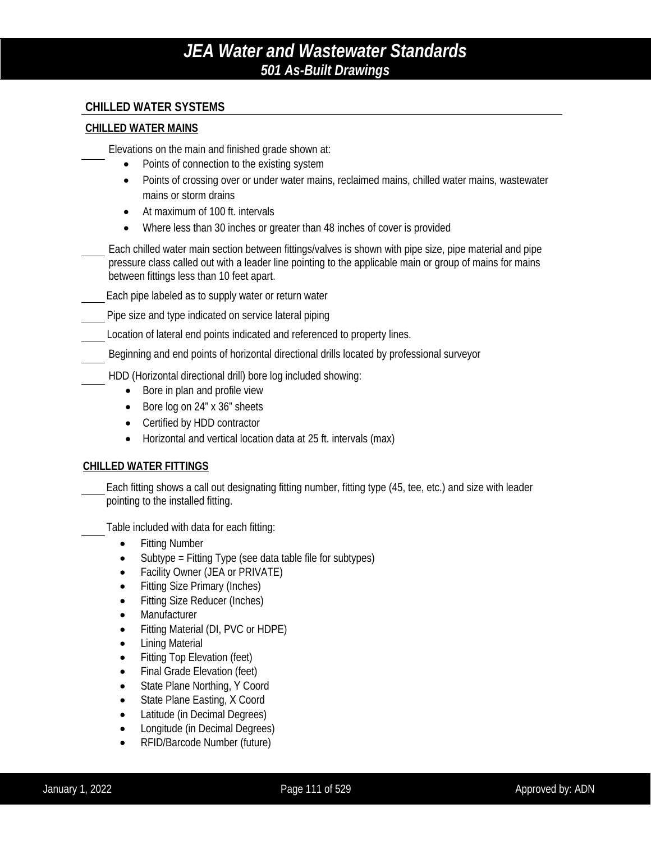### **CHILLED WATER SYSTEMS**

#### **CHILLED WATER MAINS**

Elevations on the main and finished grade shown at:

- Points of connection to the existing system
- Points of crossing over or under water mains, reclaimed mains, chilled water mains, wastewater mains or storm drains
- At maximum of 100 ft. intervals
- Where less than 30 inches or greater than 48 inches of cover is provided
- Each chilled water main section between fittings/valves is shown with pipe size, pipe material and pipe pressure class called out with a leader line pointing to the applicable main or group of mains for mains between fittings less than 10 feet apart.
- Each pipe labeled as to supply water or return water
- Pipe size and type indicated on service lateral piping
- Location of lateral end points indicated and referenced to property lines.
- Beginning and end points of horizontal directional drills located by professional surveyor
- HDD (Horizontal directional drill) bore log included showing:
	- Bore in plan and profile view
	- Bore log on 24" x 36" sheets
	- Certified by HDD contractor
	- Horizontal and vertical location data at 25 ft. intervals (max)

### **CHILLED WATER FITTINGS**

Each fitting shows a call out designating fitting number, fitting type (45, tee, etc.) and size with leader pointing to the installed fitting.

Table included with data for each fitting:

- Fitting Number
- Subtype = Fitting Type (see data table file for subtypes)
- Facility Owner (JEA or PRIVATE)
- Fitting Size Primary (Inches)
- Fitting Size Reducer (Inches)
- **Manufacturer**
- Fitting Material (DI, PVC or HDPE)
- Lining Material
- Fitting Top Elevation (feet)
- Final Grade Elevation (feet)
- State Plane Northing, Y Coord
- State Plane Easting, X Coord
- Latitude (in Decimal Degrees)
- Longitude (in Decimal Degrees)
- RFID/Barcode Number (future)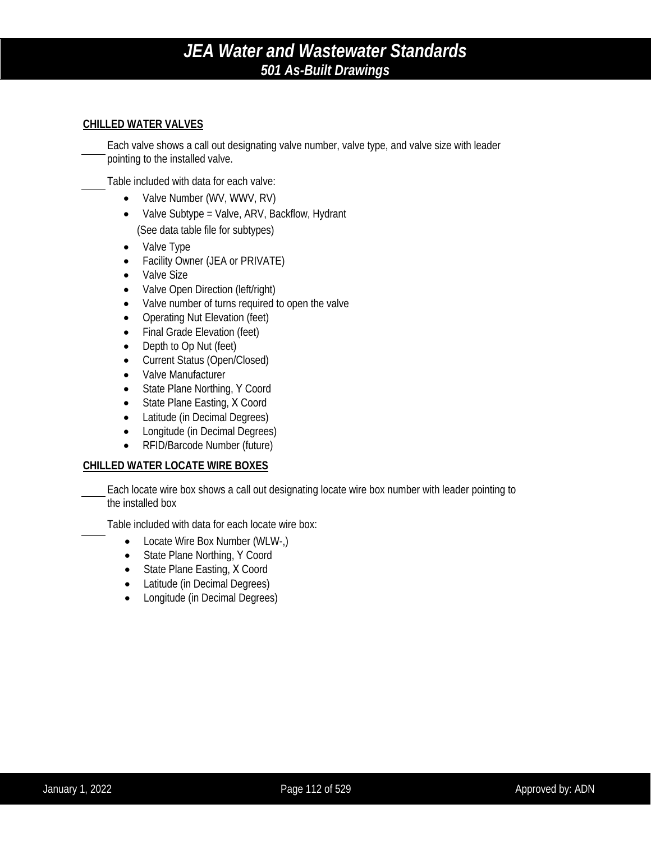#### **CHILLED WATER VALVES**

Each valve shows a call out designating valve number, valve type, and valve size with leader pointing to the installed valve.

Table included with data for each valve:

- Valve Number (WV, WWV, RV)
- Valve Subtype = Valve, ARV, Backflow, Hydrant (See data table file for subtypes)
- Valve Type
- Facility Owner (JEA or PRIVATE)
- Valve Size
- Valve Open Direction (left/right)
- Valve number of turns required to open the valve
- Operating Nut Elevation (feet)
- Final Grade Elevation (feet)
- Depth to Op Nut (feet)
- Current Status (Open/Closed)
- Valve Manufacturer
- State Plane Northing, Y Coord
- State Plane Easting, X Coord
- Latitude (in Decimal Degrees)
- Longitude (in Decimal Degrees)
- RFID/Barcode Number (future)

### **CHILLED WATER LOCATE WIRE BOXES**

Each locate wire box shows a call out designating locate wire box number with leader pointing to the installed box

Table included with data for each locate wire box:

- Locate Wire Box Number (WLW-.)
- State Plane Northing, Y Coord
- State Plane Easting, X Coord
- Latitude (in Decimal Degrees)
- Longitude (in Decimal Degrees)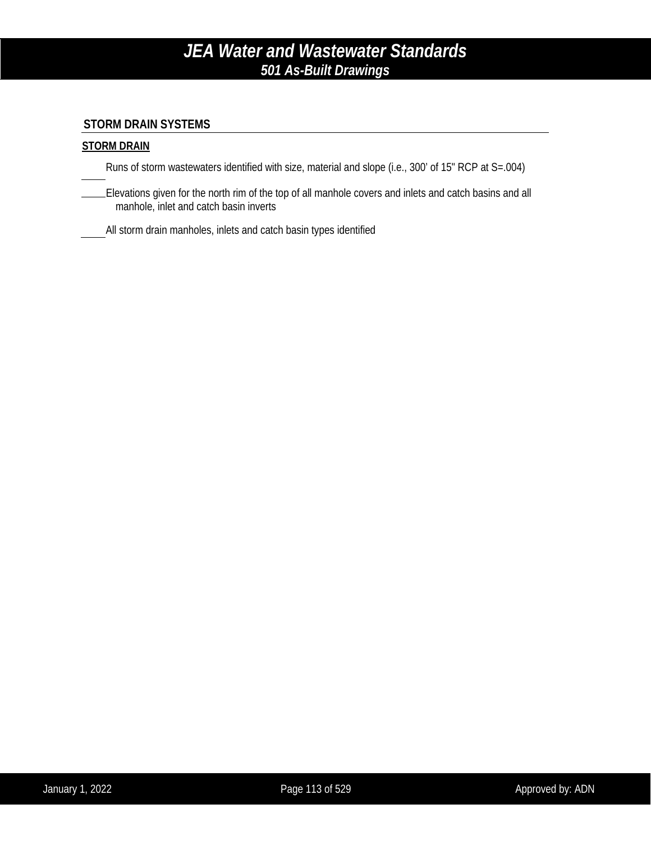### **STORM DRAIN SYSTEMS**

### **STORM DRAIN**

Runs of storm wastewaters identified with size, material and slope (i.e., 300' of 15" RCP at S=.004)

Elevations given for the north rim of the top of all manhole covers and inlets and catch basins and all manhole, inlet and catch basin inverts

All storm drain manholes, inlets and catch basin types identified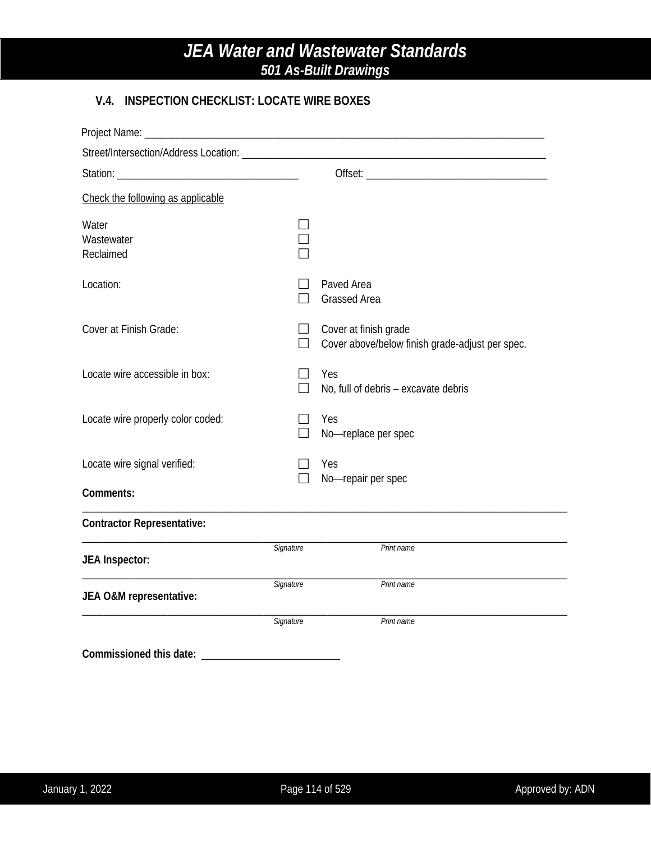## **V.4. INSPECTION CHECKLIST: LOCATE WIRE BOXES**

| Project Name:                     |           |                                                                          |
|-----------------------------------|-----------|--------------------------------------------------------------------------|
|                                   |           |                                                                          |
|                                   |           |                                                                          |
| Check the following as applicable |           |                                                                          |
| Water<br>Wastewater<br>Reclaimed  |           |                                                                          |
| Location:                         |           | Paved Area<br><b>Grassed Area</b>                                        |
| Cover at Finish Grade:            | $\Box$    | Cover at finish grade<br>Cover above/below finish grade-adjust per spec. |
| Locate wire accessible in box:    |           | Yes<br>No, full of debris - excavate debris                              |
| Locate wire properly color coded: |           | Yes<br>No-replace per spec                                               |
| Locate wire signal verified:      |           | Yes<br>No-repair per spec                                                |
| Comments:                         |           |                                                                          |
| <b>Contractor Representative:</b> |           |                                                                          |
| <b>JEA Inspector:</b>             | Signature | Print name                                                               |
| JEA O&M representative:           | Signature | Print name                                                               |
|                                   | Signature | Print name                                                               |
| Commissioned this date:           |           |                                                                          |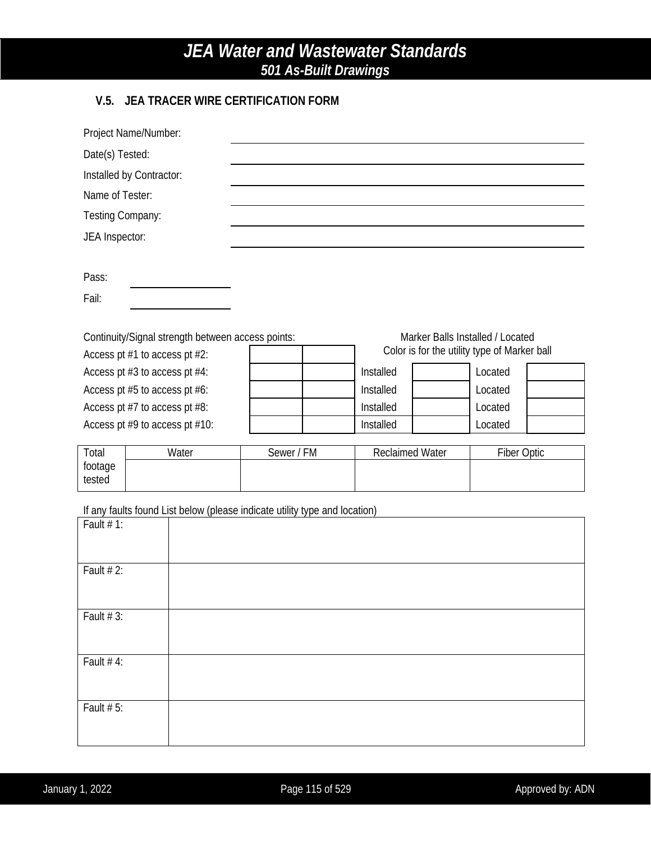## **V.5. JEA TRACER WIRE CERTIFICATION FORM**

| Project Name/Number:          |  |                                                                            |            |                        |                                              |             |  |
|-------------------------------|--|----------------------------------------------------------------------------|------------|------------------------|----------------------------------------------|-------------|--|
| Date(s) Tested:               |  |                                                                            |            |                        |                                              |             |  |
| Installed by Contractor:      |  |                                                                            |            |                        |                                              |             |  |
| Name of Tester:               |  |                                                                            |            |                        |                                              |             |  |
| Testing Company:              |  |                                                                            |            |                        |                                              |             |  |
| JEA Inspector:                |  |                                                                            |            |                        |                                              |             |  |
|                               |  |                                                                            |            |                        |                                              |             |  |
| Pass:                         |  |                                                                            |            |                        |                                              |             |  |
| Fail:                         |  |                                                                            |            |                        |                                              |             |  |
|                               |  |                                                                            |            |                        |                                              |             |  |
|                               |  | Continuity/Signal strength between access points:                          |            |                        | Marker Balls Installed / Located             |             |  |
| Access pt #1 to access pt #2: |  |                                                                            |            |                        | Color is for the utility type of Marker ball |             |  |
| Access pt #3 to access pt #4: |  |                                                                            |            | Installed              |                                              | Located     |  |
| Access pt #5 to access pt #6: |  |                                                                            |            | Installed              |                                              | Located     |  |
| Access pt #7 to access pt #8: |  |                                                                            | Installed  |                        | Located                                      |             |  |
|                               |  | Access pt #9 to access pt #10:                                             |            | Installed              |                                              | Located     |  |
| Total                         |  | Water                                                                      | Sewer / FM | <b>Reclaimed Water</b> |                                              | Fiber Optic |  |
| footage<br>tested             |  |                                                                            |            |                        |                                              |             |  |
|                               |  |                                                                            |            |                        |                                              |             |  |
|                               |  | If any faults found List below (please indicate utility type and location) |            |                        |                                              |             |  |
| Fault $# 1$ :                 |  |                                                                            |            |                        |                                              |             |  |
|                               |  |                                                                            |            |                        |                                              |             |  |
| Fault # 2:                    |  |                                                                            |            |                        |                                              |             |  |
|                               |  |                                                                            |            |                        |                                              |             |  |
| Fault $# 3$ :                 |  |                                                                            |            |                        |                                              |             |  |
|                               |  |                                                                            |            |                        |                                              |             |  |
|                               |  |                                                                            |            |                        |                                              |             |  |

| Fault $# 4$ : |  |  |  |
|---------------|--|--|--|
|               |  |  |  |
|               |  |  |  |
| Fault $# 5$ : |  |  |  |
|               |  |  |  |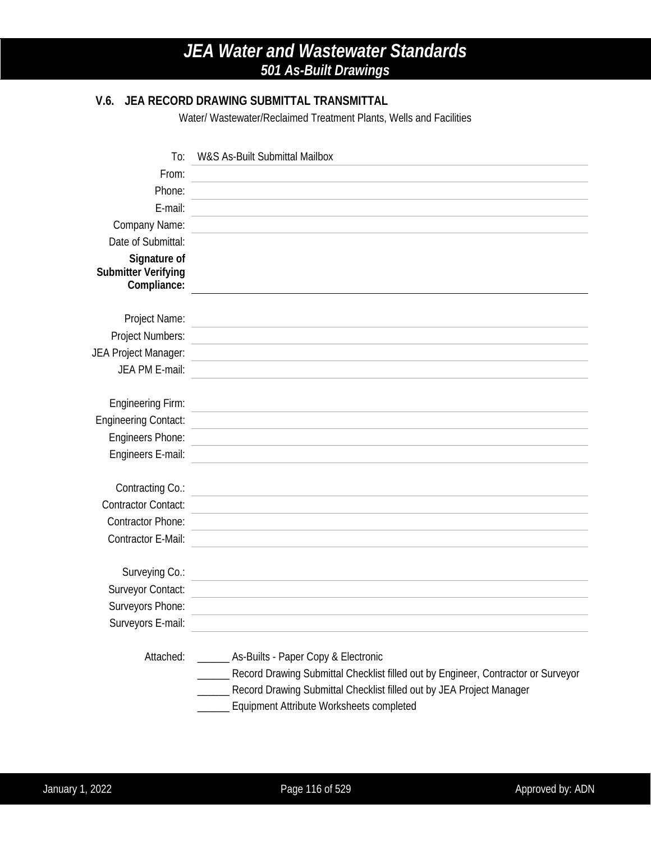## **V.6. JEA RECORD DRAWING SUBMITTAL TRANSMITTAL**

Water/ Wastewater/Reclaimed Treatment Plants, Wells and Facilities

| To:                                                       | W&S As-Built Submittal Mailbox                                                                                                                                                                                                                        |
|-----------------------------------------------------------|-------------------------------------------------------------------------------------------------------------------------------------------------------------------------------------------------------------------------------------------------------|
| From:                                                     |                                                                                                                                                                                                                                                       |
| Phone:                                                    |                                                                                                                                                                                                                                                       |
| E-mail:                                                   |                                                                                                                                                                                                                                                       |
| Company Name:                                             |                                                                                                                                                                                                                                                       |
| Date of Submittal:                                        |                                                                                                                                                                                                                                                       |
| Signature of<br><b>Submitter Verifying</b><br>Compliance: |                                                                                                                                                                                                                                                       |
| Project Name:                                             |                                                                                                                                                                                                                                                       |
| Project Numbers:                                          |                                                                                                                                                                                                                                                       |
| JEA Project Manager:                                      |                                                                                                                                                                                                                                                       |
| JEA PM E-mail:                                            |                                                                                                                                                                                                                                                       |
|                                                           |                                                                                                                                                                                                                                                       |
| <b>Engineering Firm:</b>                                  |                                                                                                                                                                                                                                                       |
| <b>Engineering Contact:</b>                               |                                                                                                                                                                                                                                                       |
| Engineers Phone:                                          |                                                                                                                                                                                                                                                       |
| Engineers E-mail:                                         |                                                                                                                                                                                                                                                       |
| Contracting Co.:                                          |                                                                                                                                                                                                                                                       |
| <b>Contractor Contact:</b>                                |                                                                                                                                                                                                                                                       |
| <b>Contractor Phone:</b>                                  |                                                                                                                                                                                                                                                       |
| Contractor E-Mail:                                        |                                                                                                                                                                                                                                                       |
|                                                           |                                                                                                                                                                                                                                                       |
| Surveying Co.:                                            |                                                                                                                                                                                                                                                       |
| Surveyor Contact:                                         |                                                                                                                                                                                                                                                       |
| Surveyors Phone:                                          |                                                                                                                                                                                                                                                       |
| Surveyors E-mail:                                         |                                                                                                                                                                                                                                                       |
| Attached:                                                 | _____ As-Builts - Paper Copy & Electronic<br>__ Record Drawing Submittal Checklist filled out by Engineer, Contractor or Surveyor<br>Record Drawing Submittal Checklist filled out by JEA Project Manager<br>Equipment Attribute Worksheets completed |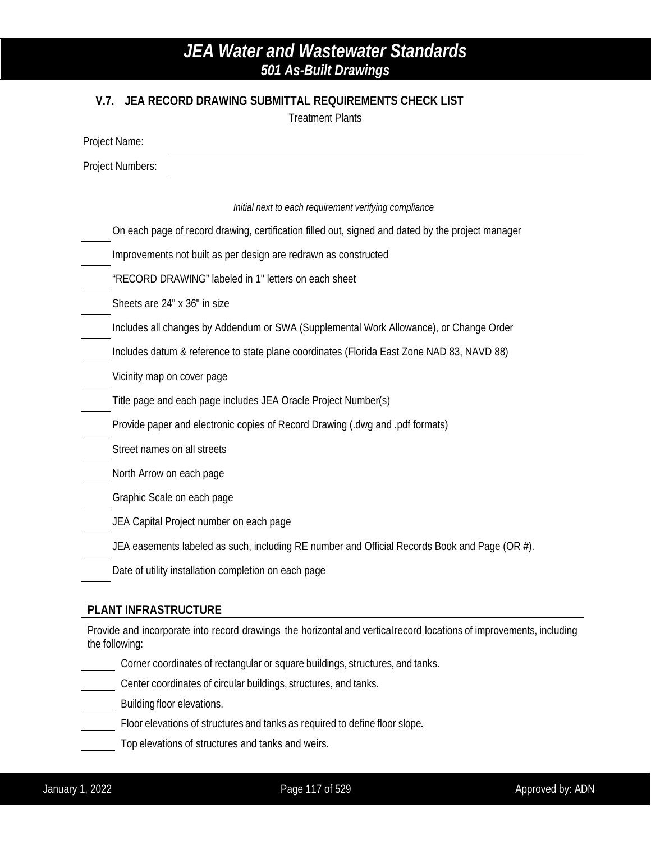### **V.7. JEA RECORD DRAWING SUBMITTAL REQUIREMENTS CHECK LIST**

Treatment Plants

| Project Name:                                                                                     |
|---------------------------------------------------------------------------------------------------|
| Project Numbers:                                                                                  |
|                                                                                                   |
| Initial next to each requirement verifying compliance                                             |
| On each page of record drawing, certification filled out, signed and dated by the project manager |
| Improvements not built as per design are redrawn as constructed                                   |
| "RECORD DRAWING" labeled in 1" letters on each sheet                                              |
| Sheets are 24" x 36" in size                                                                      |
| Includes all changes by Addendum or SWA (Supplemental Work Allowance), or Change Order            |
| Includes datum & reference to state plane coordinates (Florida East Zone NAD 83, NAVD 88)         |
| Vicinity map on cover page                                                                        |
| Title page and each page includes JEA Oracle Project Number(s)                                    |
| Provide paper and electronic copies of Record Drawing (dwg and .pdf formats)                      |
| Street names on all streets                                                                       |
| North Arrow on each page                                                                          |
| Graphic Scale on each page                                                                        |
| JEA Capital Project number on each page                                                           |
| JEA easements labeled as such, including RE number and Official Records Book and Page (OR #).     |
| Date of utility installation completion on each page                                              |
|                                                                                                   |

### **PLANT INFRASTRUCTURE**

Provide and incorporate into record drawings the horizontal and verticalrecord locations of improvements, including the following:

- Corner coordinates of rectangular or square buildings, structures, and tanks.
- Center coordinates of circular buildings, structures, and tanks.
- Building floor elevations.
- Floor elevations of structures and tanks as required to define floor slope.
- Top elevations of structures and tanks and weirs.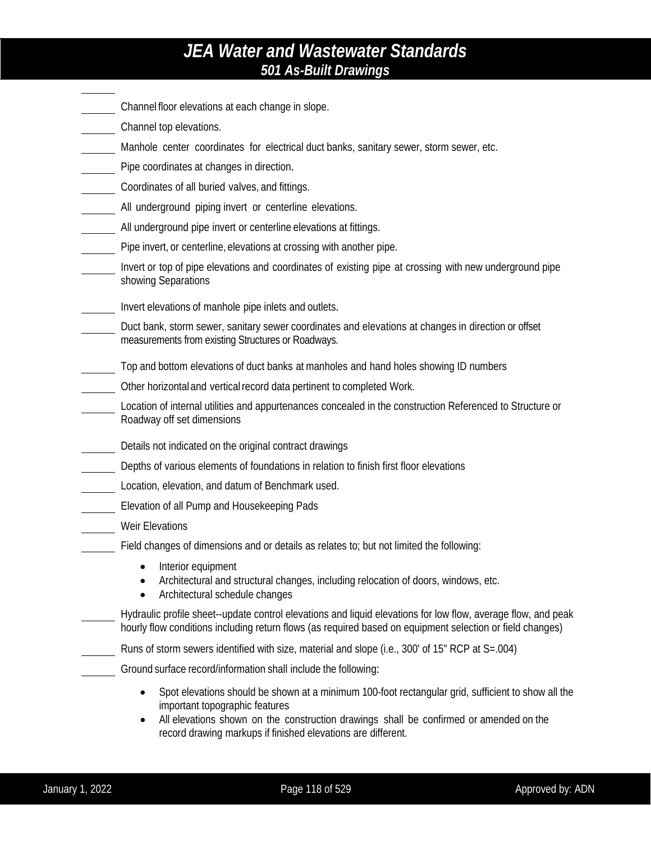- Channel floor elevations at each change in slope.
- Channel top elevations.
- Manhole center coordinates for electrical duct banks, sanitary sewer, storm sewer, etc.
- Pipe coordinates at changes in direction.
- Coordinates of all buried valves, and fittings.
- All underground piping invert or centerline elevations.
- All underground pipe invert or centerline elevations at fittings.
- Pipe invert, or centerline, elevations at crossing with another pipe.
- Invert or top of pipe elevations and coordinates of existing pipe at crossing with new underground pipe showing Separations
	- Invert elevations of manhole pipe inlets and outlets.
	- Duct bank, storm sewer, sanitary sewer coordinates and elevations at changes in direction or offset measurements from existing Structures or Roadways.
- Top and bottom elevations of duct banks at manholes and hand holes showing ID numbers
- Other horizontal and verticalrecord data pertinent to completed Work.
- Location of internal utilities and appurtenances concealed in the construction Referenced to Structure or Roadway off set dimensions
- Details not indicated on the original contract drawings
- Depths of various elements of foundations in relation to finish first floor elevations
- Location, elevation, and datum of Benchmark used.
- Elevation of all Pump and Housekeeping Pads
- Weir Elevations
- Field changes of dimensions and or details as relates to; but not limited the following:
	- Interior equipment
	- Architectural and structural changes, including relocation of doors, windows, etc.
	- Architectural schedule changes
- Hydraulic profile sheet--update control elevations and liquid elevations for low flow, average flow, and peak hourly flow conditions including return flows (as required based on equipment selection or field changes)
- Runs of storm sewers identified with size, material and slope (i.e., 300' of 15" RCP at S=.004)
- Ground surface record/information shall include the following:
	- Spot elevations should be shown at a minimum 100-foot rectangular grid, sufficient to show all the important topographic features
	- All elevations shown on the construction drawings shall be confirmed or amended on the record drawing markups if finished elevations are different.